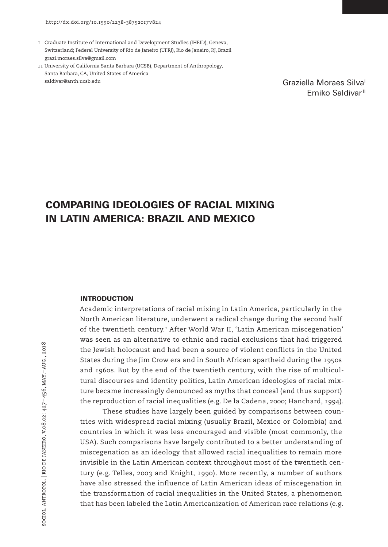- 1 Graduate Institute of International and Development Studies (IHEID), Geneva, Switzerland; Federal University of Rio de Janeiro (UFRJ), Rio de Janeiro, RJ, Brazil grazi.moraes.silva@gmail.com
- 11 University of California Santa Barbara (UCSB), Department of Anthropology, Santa Barbara, CA, United States of America saldivar@anth.ucsb.edu

Graziella Moraes Silval Emiko Saldivar<sup>II</sup>

# COMPARING IDEOLOGIES OF RACIAL MIXING IN LATIN AMERICA: BRAZIL AND MEXICO

## INTRODUCTION

Academic interpretations of racial mixing in Latin America, particularly in the North American literature, underwent a radical change during the second half of the twentieth century.<sup>1</sup> After World War II, 'Latin American miscegenation' was seen as an alternative to ethnic and racial exclusions that had triggered the Jewish holocaust and had been a source of violent conflicts in the United States during the Jim Crow era and in South African apartheid during the 1950s and 1960s. But by the end of the twentieth century, with the rise of multicultural discourses and identity politics, Latin American ideologies of racial mixture became increasingly denounced as myths that conceal (and thus support) the reproduction of racial inequalities (e.g. De la Cadena, 2000; Hanchard, 1994).

These studies have largely been guided by comparisons between countries with widespread racial mixing (usually Brazil, Mexico or Colombia) and countries in which it was less encouraged and visible (most commonly, the USA). Such comparisons have largely contributed to a better understanding of miscegenation as an ideology that allowed racial inequalities to remain more invisible in the Latin American context throughout most of the twentieth century (e.g. Telles, 2003 and Knight, 1990). More recently, a number of authors have also stressed the influence of Latin American ideas of miscegenation in the transformation of racial inequalities in the United States, a phenomenon that has been labeled the Latin Americanization of American race relations (e.g.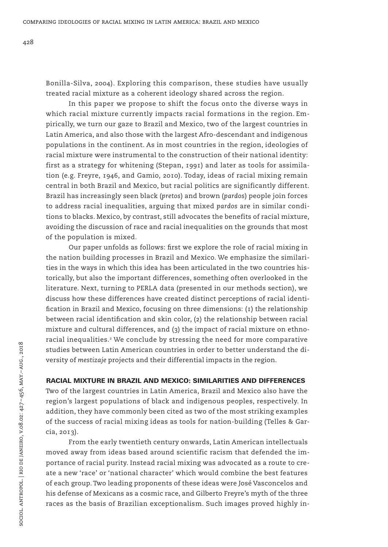Bonilla-Silva, 2004). Exploring this comparison, these studies have usually treated racial mixture as a coherent ideology shared across the region.

In this paper we propose to shift the focus onto the diverse ways in which racial mixture currently impacts racial formations in the region. Empirically, we turn our gaze to Brazil and Mexico, two of the largest countries in Latin America, and also those with the largest Afro-descendant and indigenous populations in the continent. As in most countries in the region, ideologies of racial mixture were instrumental to the construction of their national identity: first as a strategy for whitening (Stepan, 1991) and later as tools for assimilation (e.g. Freyre, 1946, and Gamio, 2010). Today, ideas of racial mixing remain central in both Brazil and Mexico, but racial politics are significantly different. Brazil has increasingly seen black (*pretos*) and brown (*pardos*) people join forces to address racial inequalities, arguing that mixed *pardos* are in similar conditions to blacks. Mexico, by contrast, still advocates the benefits of racial mixture, avoiding the discussion of race and racial inequalities on the grounds that most of the population is mixed.

Our paper unfolds as follows: first we explore the role of racial mixing in the nation building processes in Brazil and Mexico. We emphasize the similarities in the ways in which this idea has been articulated in the two countries historically, but also the important differences, something often overlooked in the literature. Next, turning to PERLA data (presented in our methods section), we discuss how these differences have created distinct perceptions of racial identification in Brazil and Mexico, focusing on three dimensions: (1) the relationship between racial identification and skin color, (2) the relationship between racial mixture and cultural differences, and (3) the impact of racial mixture on ethnoracial inequalities.<sup>2</sup> We conclude by stressing the need for more comparative studies between Latin American countries in order to better understand the diversity of *mestizaje* projects and their differential impacts in the region.

## RACIAL MIXTURE IN BRAZIL AND MEXICO: SIMILARITIES AND DIFFERENCES

Two of the largest countries in Latin America, Brazil and Mexico also have the region's largest populations of black and indigenous peoples, respectively. In addition, they have commonly been cited as two of the most striking examples of the success of racial mixing ideas as tools for nation-building (Telles & Garcia, 2013).

From the early twentieth century onwards, Latin American intellectuals moved away from ideas based around scientific racism that defended the importance of racial purity. Instead racial mixing was advocated as a route to create a new 'race' or 'national character' which would combine the best features of each group. Two leading proponents of these ideas were José Vasconcelos and his defense of Mexicans as a cosmic race, and Gilberto Freyre's myth of the three races as the basis of Brazilian exceptionalism. Such images proved highly in-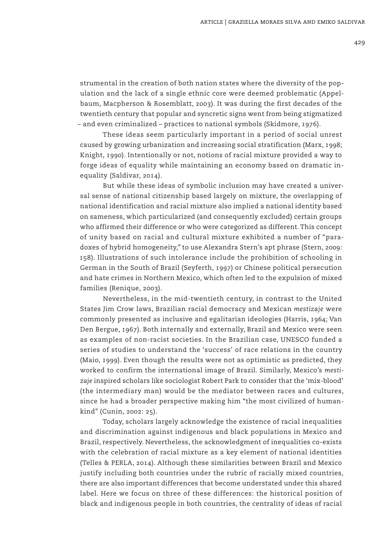strumental in the creation of both nation states where the diversity of the population and the lack of a single ethnic core were deemed problematic (Appelbaum, Macpherson & Rosemblatt, 2003). It was during the first decades of the twentieth century that popular and syncretic signs went from being stigmatized – and even criminalized – practices to national symbols (Skidmore, 1976).

These ideas seem particularly important in a period of social unrest caused by growing urbanization and increasing social stratification (Marx, 1998; Knight, 1990). Intentionally or not, notions of racial mixture provided a way to forge ideas of equality while maintaining an economy based on dramatic inequality (Saldivar, 2014).

But while these ideas of symbolic inclusion may have created a universal sense of national citizenship based largely on mixture, the overlapping of national identification and racial mixture also implied a national identity based on sameness, which particularized (and consequently excluded) certain groups who affirmed their difference or who were categorized as different. This concept of unity based on racial and cultural mixture exhibited a number of "paradoxes of hybrid homogeneity," to use Alexandra Stern's apt phrase (Stern, 2009: 158). Illustrations of such intolerance include the prohibition of schooling in German in the South of Brazil (Seyferth, 1997) or Chinese political persecution and hate crimes in Northern Mexico, which often led to the expulsion of mixed families (Renique, 2003).

Nevertheless, in the mid-twentieth century, in contrast to the United States Jim Crow laws, Brazilian racial democracy and Mexican *mestizaje* were commonly presented as inclusive and egalitarian ideologies (Harris, 1964; Van Den Bergue, 1967). Both internally and externally, Brazil and Mexico were seen as examples of non-racist societies. In the Brazilian case, UNESCO funded a series of studies to understand the 'success' of race relations in the country (Maio, 1999). Even though the results were not as optimistic as predicted, they worked to confirm the international image of Brazil. Similarly, Mexico's *mestizaje* inspired scholars like sociologist Robert Park to consider that the 'mix-blood' (the intermediary man) would be the mediator between races and cultures, since he had a broader perspective making him "the most civilized of humankind" (Cunin, 2002: 25).

Today, scholars largely acknowledge the existence of racial inequalities and discrimination against indigenous and black populations in Mexico and Brazil, respectively. Nevertheless, the acknowledgment of inequalities co-exists with the celebration of racial mixture as a key element of national identities (Telles & PERLA, 2014). Although these similarities between Brazil and Mexico justify including both countries under the rubric of racially mixed countries, there are also important differences that become understated under this shared label. Here we focus on three of these differences: the historical position of black and indigenous people in both countries, the centrality of ideas of racial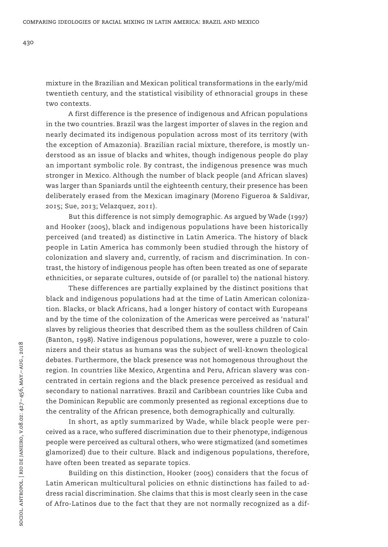mixture in the Brazilian and Mexican political transformations in the early/mid twentieth century, and the statistical visibility of ethnoracial groups in these two contexts.

A first difference is the presence of indigenous and African populations in the two countries. Brazil was the largest importer of slaves in the region and nearly decimated its indigenous population across most of its territory (with the exception of Amazonia). Brazilian racial mixture, therefore, is mostly understood as an issue of blacks and whites, though indigenous people do play an important symbolic role. By contrast, the indigenous presence was much stronger in Mexico. Although the number of black people (and African slaves) was larger than Spaniards until the eighteenth century, their presence has been deliberately erased from the Mexican imaginary (Moreno Figueroa & Saldivar, 2015; Sue, 2013; Velazquez, 2011).

But this difference is not simply demographic. As argued by Wade (1997) and Hooker (2005), black and indigenous populations have been historically perceived (and treated) as distinctive in Latin America. The history of black people in Latin America has commonly been studied through the history of colonization and slavery and, currently, of racism and discrimination. In contrast, the history of indigenous people has often been treated as one of separate ethnicities, or separate cultures, outside of (or parallel to) the national history.

These differences are partially explained by the distinct positions that black and indigenous populations had at the time of Latin American colonization. Blacks, or black Africans, had a longer history of contact with Europeans and by the time of the colonization of the Americas were perceived as 'natural' slaves by religious theories that described them as the soulless children of Cain (Banton, 1998). Native indigenous populations, however, were a puzzle to colonizers and their status as humans was the subject of well-known theological debates. Furthermore, the black presence was not homogenous throughout the region. In countries like Mexico, Argentina and Peru, African slavery was concentrated in certain regions and the black presence perceived as residual and secondary to national narratives. Brazil and Caribbean countries like Cuba and the Dominican Republic are commonly presented as regional exceptions due to the centrality of the African presence, both demographically and culturally.

In short, as aptly summarized by Wade, while black people were perceived as a race, who suffered discrimination due to their phenotype, indigenous people were perceived as cultural others, who were stigmatized (and sometimes glamorized) due to their culture. Black and indigenous populations, therefore, have often been treated as separate topics.

Building on this distinction, Hooker (2005) considers that the focus of Latin American multicultural policies on ethnic distinctions has failed to address racial discrimination. She claims that this is most clearly seen in the case of Afro-Latinos due to the fact that they are not normally recognized as a dif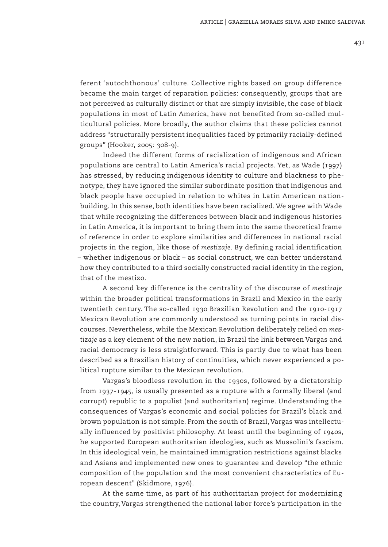ferent 'autochthonous' culture. Collective rights based on group difference became the main target of reparation policies: consequently, groups that are not perceived as culturally distinct or that are simply invisible, the case of black populations in most of Latin America, have not benefited from so-called multicultural policies. More broadly, the author claims that these policies cannot address "structurally persistent inequalities faced by primarily racially-defined groups" (Hooker, 2005: 308-9).

Indeed the different forms of racialization of indigenous and African populations are central to Latin America's racial projects. Yet, as Wade (1997) has stressed, by reducing indigenous identity to culture and blackness to phenotype, they have ignored the similar subordinate position that indigenous and black people have occupied in relation to whites in Latin American nationbuilding. In this sense, both identities have been racialized. We agree with Wade that while recognizing the differences between black and indigenous histories in Latin America, it is important to bring them into the same theoretical frame of reference in order to explore similarities and differences in national racial projects in the region, like those of *mestizaje*. By defining racial identification – whether indigenous or black – as social construct, we can better understand how they contributed to a third socially constructed racial identity in the region, that of the mestizo.

A second key difference is the centrality of the discourse of *mestizaje* within the broader political transformations in Brazil and Mexico in the early twentieth century. The so-called 1930 Brazilian Revolution and the 1910-1917 Mexican Revolution are commonly understood as turning points in racial discourses. Nevertheless, while the Mexican Revolution deliberately relied on *mestizaje* as a key element of the new nation, in Brazil the link between Vargas and racial democracy is less straightforward. This is partly due to what has been described as a Brazilian history of continuities, which never experienced a political rupture similar to the Mexican revolution.

Vargas's bloodless revolution in the 1930s, followed by a dictatorship from 1937-1945, is usually presented as a rupture with a formally liberal (and corrupt) republic to a populist (and authoritarian) regime. Understanding the consequences of Vargas's economic and social policies for Brazil's black and brown population is not simple. From the south of Brazil, Vargas was intellectually influenced by positivist philosophy. At least until the beginning of 1940s, he supported European authoritarian ideologies, such as Mussolini's fascism. In this ideological vein, he maintained immigration restrictions against blacks and Asians and implemented new ones to guarantee and develop "the ethnic composition of the population and the most convenient characteristics of European descent" (Skidmore, 1976).

At the same time, as part of his authoritarian project for modernizing the country, Vargas strengthened the national labor force's participation in the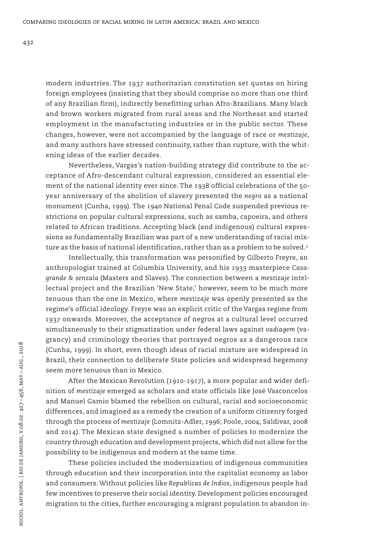modern industries. The 1937 authoritarian constitution set quotas on hiring foreign employees (insisting that they should comprise no more than one third of any Brazilian firm), indirectly benefitting urban Afro-Brazilians. Many black and brown workers migrated from rural areas and the Northeast and started employment in the manufacturing industries or in the public sector. These changes, however, were not accompanied by the language of race or *mestizaje*, and many authors have stressed continuity, rather than rupture, with the whitening ideas of the earlier decades.

Nevertheless, Vargas's nation-building strategy did contribute to the acceptance of Afro-descendant cultural expression, considered an essential element of the national identity ever since. The 1938 official celebrations of the 50 year anniversary of the abolition of slavery presented the *negro* as a national monument (Cunha, 1999). The 1940 National Penal Code suspended previous restrictions on popular cultural expressions, such as samba, capoeira, and others related to African traditions. Accepting black (and indigenous) cultural expressions as fundamentally Brazilian was part of a new understanding of racial mixture as the basis of national identification, rather than as a problem to be solved.<sup>3</sup>

Intellectually, this transformation was personified by Gilberto Freyre, an anthropologist trained at Columbia University, and his 1933 masterpiece *Casagrande & senzala* (Masters and Slaves). The connection between a *mestizaje* intellectual project and the Brazilian 'New State,' however, seem to be much more tenuous than the one in Mexico, where *mestizaje* was openly presented as the regime's official ideology. Freyre was an explicit critic of the Vargas regime from 1937 onwards. Moreover, the acceptance of negros at a cultural level occurred simultaneously to their stigmatization under federal laws against *vadiagem* (vagrancy) and criminology theories that portrayed negros as a dangerous race (Cunha, 1999). In short, even though ideas of racial mixture are widespread in Brazil, their connection to deliberate State policies and widespread hegemony seem more tenuous than in Mexico.

After the Mexican Revolution (1910-1917), a more popular and wider definition of *mestizaje* emerged as scholars and state officials like José Vasconcelos and Manuel Gamio blamed the rebellion on cultural, racial and socioeconomic differences, and imagined as a remedy the creation of a uniform citizenry forged through the process of *mestizaje* (Lomnitz-Adler, 1996; Poole, 2004; Saldivar, 2008 and 2014). The Mexican state designed a number of policies to modernize the country through education and development projects, which did not allow for the possibility to be indigenous and modern at the same time.

These policies included the modernization of indigenous communities through education and their incorporation into the capitalist economy as labor and consumers. Without policies like *Republicas de Indios*, indigenous people had few incentives to preserve their social identity. Development policies encouraged migration to the cities, further encouraging a migrant population to abandon in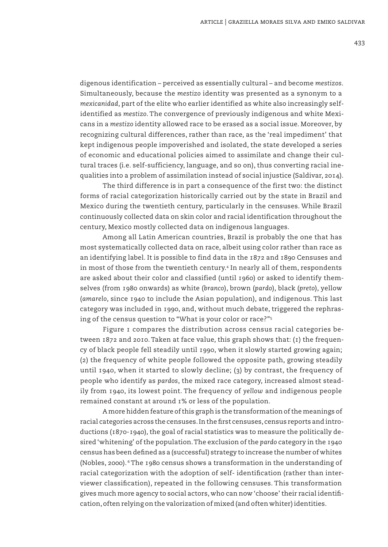digenous identification – perceived as essentially cultural – and become *mestizos*. Simultaneously, because the *mestizo* identity was presented as a synonym to a *mexicanidad*, part of the elite who earlier identified as white also increasingly selfidentified as *mestizo*. The convergence of previously indigenous and white Mexicans in a *mestizo* identity allowed race to be erased as a social issue. Moreover, by recognizing cultural differences, rather than race, as the 'real impediment' that kept indigenous people impoverished and isolated, the state developed a series of economic and educational policies aimed to assimilate and change their cultural traces (i.e. self-sufficiency, language, and so on), thus converting racial inequalities into a problem of assimilation instead of social injustice (Saldivar, 2014).

The third difference is in part a consequence of the first two: the distinct forms of racial categorization historically carried out by the state in Brazil and Mexico during the twentieth century, particularly in the censuses. While Brazil continuously collected data on skin color and racial identification throughout the century, Mexico mostly collected data on indigenous languages.

Among all Latin American countries, Brazil is probably the one that has most systematically collected data on race, albeit using color rather than race as an identifying label. It is possible to find data in the 1872 and 1890 Censuses and in most of those from the twentieth century.4 In nearly all of them, respondents are asked about their color and classified (until 1960) or asked to identify themselves (from 1980 onwards) as white (*branco*), brown (*pardo*), black (*preto*), yellow (*amarelo*, since 1940 to include the Asian population), and indigenous. This last category was included in 1990, and, without much debate, triggered the rephrasing of the census question to "What is your color or race?"5

Figure 1 compares the distribution across census racial categories between 1872 and 2010. Taken at face value, this graph shows that: (1) the frequency of black people fell steadily until 1990, when it slowly started growing again; (2) the frequency of white people followed the opposite path, growing steadily until 1940, when it started to slowly decline; (3) by contrast, the frequency of people who identify as *pardos*, the mixed race category, increased almost steadily from 1940, its lowest point. The frequency of *yellow* and indigenous people remained constant at around 1% or less of the population.

A more hidden feature of this graph is the transformation of the meanings of racial categories across the censuses. In the first censuses, census reports and introductions (1870-1940), the goal of racial statistics was to measure the politically desired 'whitening' of the population. The exclusion of the *pardo* category in the 1940 census has been defined as a (successful) strategy to increase the number of whites (Nobles, 2000). 6 The 1980 census shows a transformation in the understanding of racial categorization with the adoption of self- identification (rather than interviewer classification), repeated in the following censuses. This transformation gives much more agency to social actors, who can now 'choose' their racial identification, often relying on the valorization of mixed (and often whiter) identities.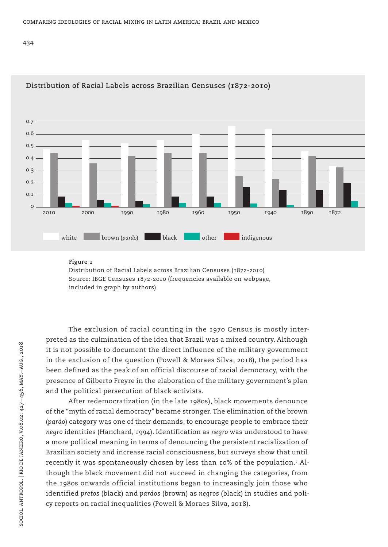434



## **Distribution of Racial Labels across Brazilian Censuses (1872-2010)**

#### **Figure 1**

Distribution of Racial Labels across Brazilian Censuses (1872-2010) Source: IBGE Censuses 1872-2010 (frequencies available on webpage, included in graph by authors)

The exclusion of racial counting in the 1970 Census is mostly interpreted as the culmination of the idea that Brazil was a mixed country. Although it is not possible to document the direct influence of the military government in the exclusion of the question (Powell & Moraes Silva, 2018), the period has been defined as the peak of an official discourse of racial democracy, with the presence of Gilberto Freyre in the elaboration of the military government's plan and the political persecution of black activists.

After redemocratization (in the late 1980s), black movements denounce of the "myth of racial democracy" became stronger. The elimination of the brown (*pardo*) category was one of their demands, to encourage people to embrace their *negro* identities (Hanchard, 1994). Identification as *negro* was understood to have a more political meaning in terms of denouncing the persistent racialization of Brazilian society and increase racial consciousness, but surveys show that until recently it was spontaneously chosen by less than 10% of the population.7 Although the black movement did not succeed in changing the categories, from the 1980s onwards official institutions began to increasingly join those who identified *pretos* (black) and *pardos* (brown) as *negros* (black) in studies and policy reports on racial inequalities (Powell & Moraes Silva, 2018).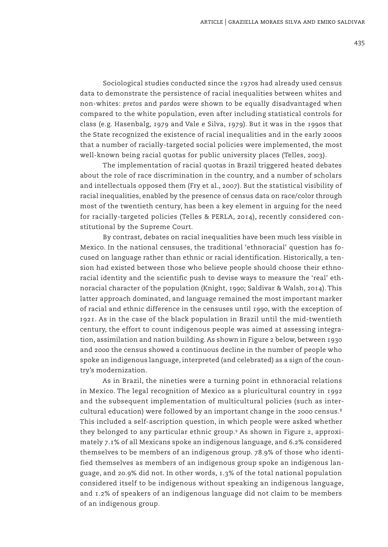Sociological studies conducted since the 1970s had already used census data to demonstrate the persistence of racial inequalities between whites and non-whites: *pretos* and *pardos* were shown to be equally disadvantaged when compared to the white population, even after including statistical controls for class (e.g. Hasenbalg, 1979 and Vale e Silva, 1979). But it was in the 1990s that the State recognized the existence of racial inequalities and in the early 2000s that a number of racially-targeted social policies were implemented, the most well-known being racial quotas for public university places (Telles, 2003).

The implementation of racial quotas in Brazil triggered heated debates about the role of race discrimination in the country, and a number of scholars and intellectuals opposed them (Fry et al., 2007). But the statistical visibility of racial inequalities, enabled by the presence of census data on race/color through most of the twentieth century, has been a key element in arguing for the need for racially-targeted policies (Telles & PERLA, 2014), recently considered constitutional by the Supreme Court.

By contrast, debates on racial inequalities have been much less visible in Mexico. In the national censuses, the traditional 'ethnoracial' question has focused on language rather than ethnic or racial identification. Historically, a tension had existed between those who believe people should choose their ethnoracial identity and the scientific push to devise ways to measure the 'real' ethnoracial character of the population (Knight, 1990; Saldivar & Walsh, 2014). This latter approach dominated, and language remained the most important marker of racial and ethnic difference in the censuses until 1990, with the exception of 1921. As in the case of the black population in Brazil until the mid-twentieth century, the effort to count indigenous people was aimed at assessing integration, assimilation and nation building. As shown in Figure 2 below, between 1930 and 2000 the census showed a continuous decline in the number of people who spoke an indigenous language, interpreted (and celebrated) as a sign of the country's modernization.

As in Brazil, the nineties were a turning point in ethnoracial relations in Mexico. The legal recognition of Mexico as a pluricultural country in 1992 and the subsequent implementation of multicultural policies (such as intercultural education) were followed by an important change in the 2000 census.<sup>8</sup> This included a self-ascription question, in which people were asked whether they belonged to any particular ethnic group.9 As shown in Figure 2, approximately 7.1% of all Mexicans spoke an indigenous language, and 6.2% considered themselves to be members of an indigenous group. 78.9% of those who identified themselves as members of an indigenous group spoke an indigenous language, and 20.9% did not. In other words, 1.3% of the total national population considered itself to be indigenous without speaking an indigenous language, and 1.2% of speakers of an indigenous language did not claim to be members of an indigenous group.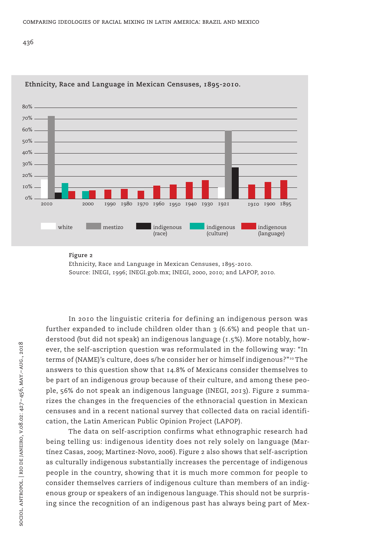436



**Ethnicity, Race and Language in Mexican Censuses, 1895-2010.**

#### **Figure 2**

Ethnicity, Race and Language in Mexican Censuses, 1895-2010. Source: INEGI, 1996; INEGI.gob.mx; INEGI, 2000, 2010; and LAPOP, 2010.

In 2010 the linguistic criteria for defining an indigenous person was further expanded to include children older than  $3(6.6%)$  and people that understood (but did not speak) an indigenous language (1.5%). More notably, however, the self-ascription question was reformulated in the following way: "In terms of (NAME)'s culture, does s/he consider her or himself indigenous?"10 The answers to this question show that 14.8% of Mexicans consider themselves to be part of an indigenous group because of their culture, and among these people, 56% do not speak an indigenous language (INEGI, 2013). Figure 2 summarizes the changes in the frequencies of the ethnoracial question in Mexican censuses and in a recent national survey that collected data on racial identification, the Latin American Public Opinion Project (LAPOP).

The data on self-ascription confirms what ethnographic research had being telling us: indigenous identity does not rely solely on language (Martínez Casas, 2009; Martinez-Novo, 2006). Figure 2 also shows that self-ascription as culturally indigenous substantially increases the percentage of indigenous people in the country, showing that it is much more common for people to consider themselves carriers of indigenous culture than members of an indigenous group or speakers of an indigenous language. This should not be surprising since the recognition of an indigenous past has always being part of Mex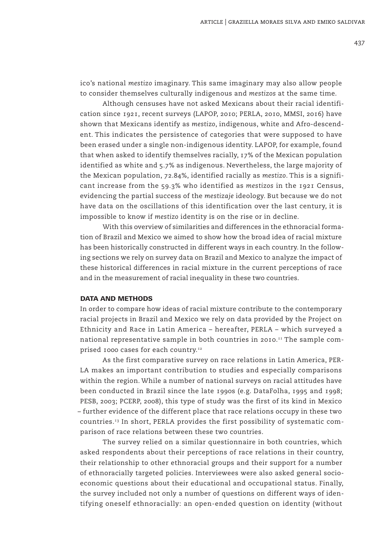ico's national *mestizo* imaginary. This same imaginary may also allow people to consider themselves culturally indigenous and *mestizos* at the same time.

Although censuses have not asked Mexicans about their racial identification since 1921, recent surveys (LAPOP, 2010; PERLA, 2010, MMSI, 2016) have shown that Mexicans identify as *mestizo*, indigenous, white and Afro-descendent. This indicates the persistence of categories that were supposed to have been erased under a single non-indigenous identity. LAPOP, for example, found that when asked to identify themselves racially, 17% of the Mexican population identified as white and 5.7% as indigenous. Nevertheless, the large majority of the Mexican population, 72.84%, identified racially as *mestizo*. This is a significant increase from the 59.3% who identified as *mestizos* in the 1921 Census, evidencing the partial success of the *mestizaje* ideology. But because we do not have data on the oscillations of this identification over the last century, it is impossible to know if *mestizo* identity is on the rise or in decline.

With this overview of similarities and differences in the ethnoracial formation of Brazil and Mexico we aimed to show how the broad idea of racial mixture has been historically constructed in different ways in each country. In the following sections we rely on survey data on Brazil and Mexico to analyze the impact of these historical differences in racial mixture in the current perceptions of race and in the measurement of racial inequality in these two countries.

## DATA AND METHODS

In order to compare how ideas of racial mixture contribute to the contemporary racial projects in Brazil and Mexico we rely on data provided by the Project on Ethnicity and Race in Latin America – hereafter, PERLA – which surveyed a national representative sample in both countries in 2010.<sup>11</sup> The sample comprised 1000 cases for each country.<sup>12</sup>

As the first comparative survey on race relations in Latin America, PER-LA makes an important contribution to studies and especially comparisons within the region. While a number of national surveys on racial attitudes have been conducted in Brazil since the late 1990s (e.g. DataFolha, 1995 and 1998; PESB, 2003; PCERP, 2008), this type of study was the first of its kind in Mexico – further evidence of the different place that race relations occupy in these two countries.13 In short, PERLA provides the first possibility of systematic comparison of race relations between these two countries.

The survey relied on a similar questionnaire in both countries, which asked respondents about their perceptions of race relations in their country, their relationship to other ethnoracial groups and their support for a number of ethnoracially targeted policies. Interviewees were also asked general socioeconomic questions about their educational and occupational status. Finally, the survey included not only a number of questions on different ways of identifying oneself ethnoracially: an open-ended question on identity (without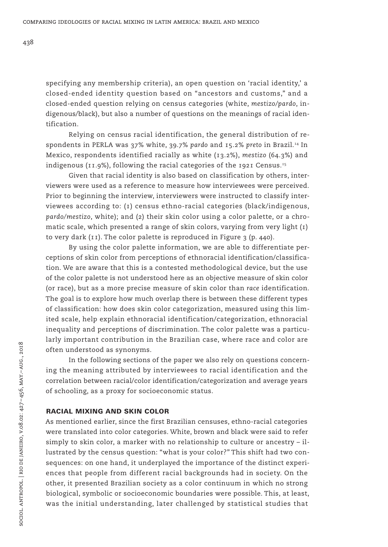specifying any membership criteria), an open question on 'racial identity,' a closed-ended identity question based on "ancestors and customs," and a closed-ended question relying on census categories (white, *mestizo/pardo*, indigenous/black), but also a number of questions on the meanings of racial identification.

Relying on census racial identification, the general distribution of respondents in PERLA was 37% white, 39.7% *pardo* and 15.2% *preto* in Brazil.14 In Mexico, respondents identified racially as white (13.2%), *mestizo* (64.3%) and indigenous (11.9%), following the racial categories of the 1921 Census.<sup>15</sup>

Given that racial identity is also based on classification by others, interviewers were used as a reference to measure how interviewees were perceived. Prior to beginning the interview, interviewers were instructed to classify interviewees according to: (1) census ethno-racial categories (black/indigenous, *pardo/mestizo*, white); and (2) their skin color using a color palette, or a chromatic scale, which presented a range of skin colors, varying from very light (1) to very dark  $(i)$ . The color palette is reproduced in Figure 3 (p. 440).

By using the color palette information, we are able to differentiate perceptions of skin color from perceptions of ethnoracial identification/classification. We are aware that this is a contested methodological device, but the use of the color palette is not understood here as an objective measure of skin color (or race), but as a more precise measure of skin color than *race* identification. The goal is to explore how much overlap there is between these different types of classification: how does skin color categorization, measured using this limited scale, help explain ethnoracial identification/categorization, ethnoracial inequality and perceptions of discrimination. The color palette was a particularly important contribution in the Brazilian case, where race and color are often understood as synonyms.

In the following sections of the paper we also rely on questions concerning the meaning attributed by interviewees to racial identification and the correlation between racial/color identification/categorization and average years of schooling, as a proxy for socioeconomic status.

## RACIAL MIXING AND SKIN COLOR

As mentioned earlier, since the first Brazilian censuses, ethno-racial categories were translated into color categories. White, brown and black were said to refer simply to skin color, a marker with no relationship to culture or ancestry – illustrated by the census question: "what is your color?" This shift had two consequences: on one hand, it underplayed the importance of the distinct experiences that people from different racial backgrounds had in society. On the other, it presented Brazilian society as a color continuum in which no strong biological, symbolic or socioeconomic boundaries were possible. This, at least, was the initial understanding, later challenged by statistical studies that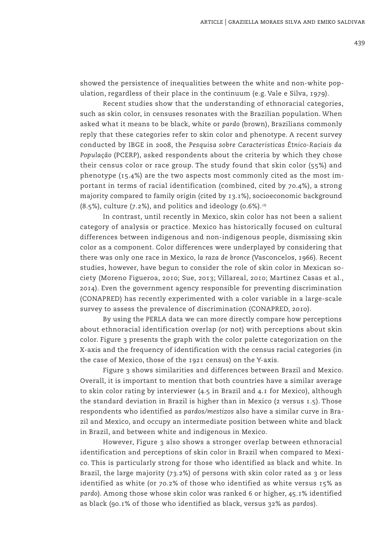showed the persistence of inequalities between the white and non-white population, regardless of their place in the continuum (e.g. Vale e Silva, 1979).

Recent studies show that the understanding of ethnoracial categories, such as skin color, in censuses resonates with the Brazilian population. When asked what it means to be black, white or *pardo* (brown), Brazilians commonly reply that these categories refer to skin color and phenotype. A recent survey conducted by IBGE in 2008, the *Pesquisa sobre Caracteristicas Étnico-Raciais da População* (PCERP), asked respondents about the criteria by which they chose their census color or race group. The study found that skin color (55%) and phenotype (15.4%) are the two aspects most commonly cited as the most important in terms of racial identification (combined, cited by 70.4%), a strong majority compared to family origin (cited by 13.1%), socioeconomic background  $(8.5\%)$ , culture  $(7.2\%)$ , and politics and ideology  $(0.6\%)$ .<sup>16</sup>

In contrast, until recently in Mexico, skin color has not been a salient category of analysis or practice. Mexico has historically focused on cultural differences between indigenous and non-indigenous people, dismissing skin color as a component. Color differences were underplayed by considering that there was only one race in Mexico, *la raza de bronce* (Vasconcelos, 1966). Recent studies, however, have begun to consider the role of skin color in Mexican society (Moreno Figueroa, 2010; Sue, 2013; Villareal, 2010; Martinez Casas et al., 2014). Even the government agency responsible for preventing discrimination (CONAPRED) has recently experimented with a color variable in a large-scale survey to assess the prevalence of discrimination (CONAPRED, 2010).

By using the PERLA data we can more directly compare how perceptions about ethnoracial identification overlap (or not) with perceptions about skin color. Figure 3 presents the graph with the color palette categorization on the X-axis and the frequency of identification with the census racial categories (in the case of Mexico, those of the 1921 census) on the Y-axis.

Figure 3 shows similarities and differences between Brazil and Mexico. Overall, it is important to mention that both countries have a similar average to skin color rating by interviewer (4.5 in Brazil and 4.1 for Mexico), although the standard deviation in Brazil is higher than in Mexico (2 versus 1.5). Those respondents who identified as *pardos/mestizos* also have a similar curve in Brazil and Mexico, and occupy an intermediate position between white and black in Brazil, and between white and indigenous in Mexico.

However, Figure 3 also shows a stronger overlap between ethnoracial identification and perceptions of skin color in Brazil when compared to Mexico. This is particularly strong for those who identified as black and white. In Brazil, the large majority (73.2%) of persons with skin color rated as 3 or less identified as white (or 70.2% of those who identified as white versus 15% as *pardo*). Among those whose skin color was ranked 6 or higher, 45.1% identified as black (90.1% of those who identified as black, versus 32% as *pardo*s).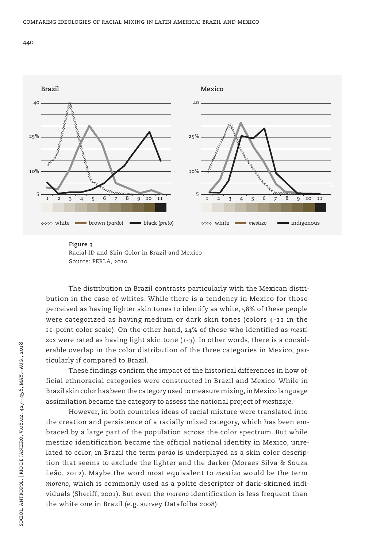



#### **Figure 3**

The distribution in Brazil contrasts particularly with the Mexican distribution in the case of whites. While there is a tendency in Mexico for those perceived as having lighter skin tones to identify as white, 58% of these people were categorized as having medium or dark skin tones (colors 4-11 in the 11-point color scale). On the other hand, 24% of those who identified as *mesti*zos were rated as having light skin tone (1-3). In other words, there is a considerable overlap in the color distribution of the three categories in Mexico, particularly if compared to Brazil.

These findings confirm the impact of the historical differences in how official ethnoracial categories were constructed in Brazil and Mexico. While in Brazil skin color has been the category used to measure mixing, in Mexico language assimilation became the category to assess the national project of *mestizaje*.

However, in both countries ideas of racial mixture were translated into the creation and persistence of a racially mixed category, which has been embraced by a large part of the population across the color spectrum. But while mestizo identification became the official national identity in Mexico, unrelated to color, in Brazil the term *pardo* is underplayed as a skin color description that seems to exclude the lighter and the darker (Moraes Silva & Souza Leão, 2012). Maybe the word most equivalent to *mestizo* would be the term *moreno*, which is commonly used as a polite descriptor of dark-skinned individuals (Sheriff, 2001). But even the *moreno* identification is less frequent than the white one in Brazil (e.g. survey Datafolha 2008).

Racial ID and Skin Color in Brazil and Mexico Source: PERLA, 2010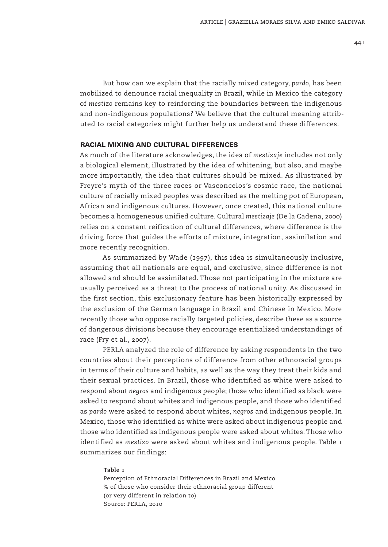But how can we explain that the racially mixed category, *pardo*, has been mobilized to denounce racial inequality in Brazil, while in Mexico the category of *mestizo* remains key to reinforcing the boundaries between the indigenous and non-indigenous populations? We believe that the cultural meaning attributed to racial categories might further help us understand these differences.

## RACIAL MIXING AND CULTURAL DIFFERENCES

As much of the literature acknowledges, the idea of *mestizaje* includes not only a biological element, illustrated by the idea of whitening, but also, and maybe more importantly, the idea that cultures should be mixed. As illustrated by Freyre's myth of the three races or Vasconcelos's cosmic race, the national culture of racially mixed peoples was described as the melting pot of European, African and indigenous cultures. However, once created, this national culture becomes a homogeneous unified culture. Cultural *mestizaje* (De la Cadena, 2000) relies on a constant reification of cultural differences, where difference is the driving force that guides the efforts of mixture, integration, assimilation and more recently recognition.

As summarized by Wade (1997), this idea is simultaneously inclusive, assuming that all nationals are equal, and exclusive, since difference is not allowed and should be assimilated. Those not participating in the mixture are usually perceived as a threat to the process of national unity. As discussed in the first section, this exclusionary feature has been historically expressed by the exclusion of the German language in Brazil and Chinese in Mexico. More recently those who oppose racially targeted policies, describe these as a source of dangerous divisions because they encourage esentialized understandings of race (Fry et al., 2007).

PERLA analyzed the role of difference by asking respondents in the two countries about their perceptions of difference from other ethnoracial groups in terms of their culture and habits, as well as the way they treat their kids and their sexual practices. In Brazil, those who identified as white were asked to respond about *negros* and indigenous people; those who identified as black were asked to respond about whites and indigenous people, and those who identified as *pardo* were asked to respond about whites, *negros* and indigenous people. In Mexico, those who identified as white were asked about indigenous people and those who identified as indigenous people were asked about whites. Those who identified as *mestizo* were asked about whites and indigenous people. Table 1 summarizes our findings:

#### **Table 1**

Perception of Ethnoracial Differences in Brazil and Mexico % of those who consider their ethnoracial group different (or very different in relation to) Source: PERLA, 2010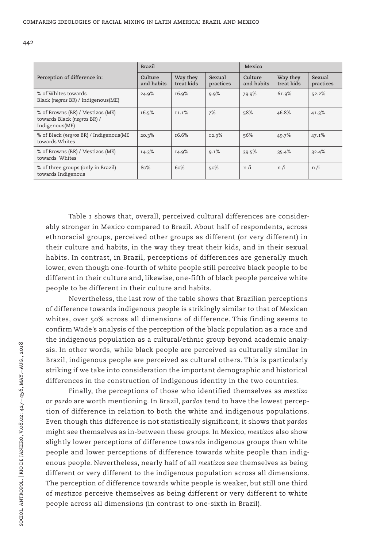|                                                                                   | <b>Brazil</b>         |                        |                     | Mexico                |                        |                     |
|-----------------------------------------------------------------------------------|-----------------------|------------------------|---------------------|-----------------------|------------------------|---------------------|
| Perception of difference in:                                                      | Culture<br>and habits | Way they<br>treat kids | Sexual<br>practices | Culture<br>and habits | Way they<br>treat kids | Sexual<br>practices |
| % of Whites towards<br>Black (negros BR) / Indigenous(ME)                         | 24.9%                 | 16.9%                  | 9.9%                | 79.9%                 | 61.9%                  | 52.2%               |
| % of Browns (BR) / Mestizos (ME)<br>towards Black (negros BR) /<br>Indigenous(ME) | 16.5%                 | II.I%                  | 7%                  | 58%                   | 46.8%                  | 41.3%               |
| % of Black (negros BR) / Indigenous(ME<br>towards Whites                          | 20.3%                 | 16.6%                  | I2.9%               | 56%                   | 49.7%                  | 47.1%               |
| % of Browns (BR) / Mestizos (ME)<br>towards Whites                                | 14.3%                 | 14.9%                  | 9.1%                | 39.5%                 | 35.4%                  | 32.4%               |
| % of three groups (only in Brazil)<br>towards Indigenous                          | 80%                   | 60%                    | 50%                 | n/i                   | n/i                    | n/i                 |

Table 1 shows that, overall, perceived cultural differences are considerably stronger in Mexico compared to Brazil. About half of respondents, across ethnoracial groups, perceived other groups as different (or very different) in their culture and habits, in the way they treat their kids, and in their sexual habits. In contrast, in Brazil, perceptions of differences are generally much lower, even though one-fourth of white people still perceive black people to be different in their culture and, likewise, one-fifth of black people perceive white people to be different in their culture and habits.

Nevertheless, the last row of the table shows that Brazilian perceptions of difference towards indigenous people is strikingly similar to that of Mexican whites, over 50% across all dimensions of difference. This finding seems to confirm Wade's analysis of the perception of the black population as a race and the indigenous population as a cultural/ethnic group beyond academic analysis. In other words, while black people are perceived as culturally similar in Brazil, indigenous people are perceived as cultural others. This is particularly striking if we take into consideration the important demographic and historical differences in the construction of indigenous identity in the two countries.

Finally, the perceptions of those who identified themselves as *mestizo* or *pardo* are worth mentioning. In Brazil, *pardos* tend to have the lowest perception of difference in relation to both the white and indigenous populations. Even though this difference is not statistically significant, it shows that *pardos* might see themselves as in-between these groups. In Mexico, *mestizos* also show slightly lower perceptions of difference towards indigenous groups than white people and lower perceptions of difference towards white people than indigenous people. Nevertheless, nearly half of all *mestizos* see themselves as being different or very different to the indigenous population across all dimensions. The perception of difference towards white people is weaker, but still one third of *mestizos* perceive themselves as being different or very different to white people across all dimensions (in contrast to one-sixth in Brazil).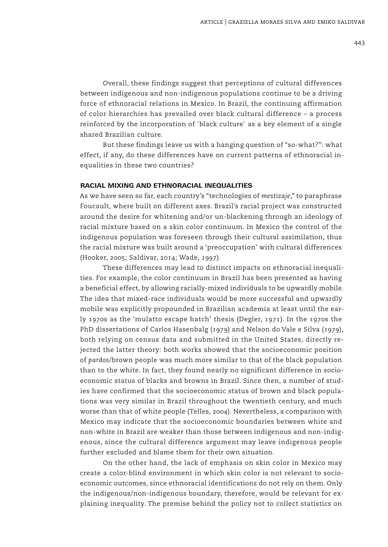Overall, these findings suggest that perceptions of cultural differences between indigenous and non-indigenous populations continue to be a driving force of ethnoracial relations in Mexico. In Brazil, the continuing affirmation of color hierarchies has prevailed over black cultural difference – a process reinforced by the incorporation of `black culture` as a key element of a single shared Brazilian culture.

But these findings leave us with a hanging question of "so-what?": what effect, if any, do these differences have on current patterns of ethnoracial inequalities in these two countries?

### RACIAL MIXING AND ETHNORACIAL INEQUALITIES

As we have seen so far, each country's "technologies of *mestizaje*," to paraphrase Foucault, where built on different axes. Brazil's racial project was constructed around the desire for whitening and/or un-blackening through an ideology of racial mixture based on a skin color continuum. In Mexico the control of the indigenous population was foreseen through their cultural assimilation, thus the racial mixture was built around a 'preoccupation' with cultural differences (Hooker, 2005; Saldivar, 2014; Wade, 1997).

These differences may lead to distinct impacts on ethnoracial inequalities. For example, the color continuum in Brazil has been presented as having a beneficial effect, by allowing racially-mixed individuals to be upwardly mobile. The idea that mixed-race individuals would be more successful and upwardly mobile was explicitly propounded in Brazilian academia at least until the early 1970s as the 'mulatto escape hatch' thesis (Degler, 1971). In the 1970s the PhD dissertations of Carlos Hasenbalg (1979) and Nelson do Vale e Silva (1979), both relying on census data and submitted in the United States, directly rejected the latter theory: both works showed that the socioeconomic position of *pardos*/brown people was much more similar to that of the black population than to the white. In fact, they found nearly no significant difference in socioeconomic status of blacks and browns in Brazil. Since then, a number of studies have confirmed that the socioeconomic status of brown and black populations was very similar in Brazil throughout the twentieth century, and much worse than that of white people (Telles, 2004). Nevertheless, a comparison with Mexico may indicate that the socioeconomic boundaries between white and non-white in Brazil are weaker than those between indigenous and non-indigenous, since the cultural difference argument may leave indigenous people further excluded and blame them for their own situation.

On the other hand, the lack of emphasis on skin color in Mexico may create a color-blind environment in which skin color is not relevant to socioeconomic outcomes, since ethnoracial identifications do not rely on them. Only the indigenous/non-indigenous boundary, therefore, would be relevant for explaining inequality. The premise behind the policy not to collect statistics on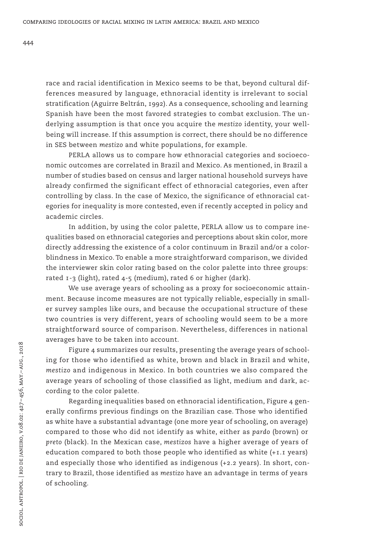race and racial identification in Mexico seems to be that, beyond cultural differences measured by language, ethnoracial identity is irrelevant to social stratification (Aguirre Beltrán, 1992). As a consequence, schooling and learning Spanish have been the most favored strategies to combat exclusion. The underlying assumption is that once you acquire the *mestizo* identity, your wellbeing will increase. If this assumption is correct, there should be no difference in SES between *mestizo* and white populations, for example.

PERLA allows us to compare how ethnoracial categories and socioeconomic outcomes are correlated in Brazil and Mexico. As mentioned, in Brazil a number of studies based on census and larger national household surveys have already confirmed the significant effect of ethnoracial categories, even after controlling by class. In the case of Mexico, the significance of ethnoracial categories for inequality is more contested, even if recently accepted in policy and academic circles.

In addition, by using the color palette, PERLA allow us to compare inequalities based on ethnoracial categories and perceptions about skin color, more directly addressing the existence of a color continuum in Brazil and/or a colorblindness in Mexico. To enable a more straightforward comparison, we divided the interviewer skin color rating based on the color palette into three groups: rated 1-3 (light), rated 4-5 (medium), rated 6 or higher (dark).

We use average years of schooling as a proxy for socioeconomic attainment. Because income measures are not typically reliable, especially in smaller survey samples like ours, and because the occupational structure of these two countries is very different, years of schooling would seem to be a more straightforward source of comparison. Nevertheless, differences in national averages have to be taken into account.

Figure 4 summarizes our results, presenting the average years of schooling for those who identified as white, brown and black in Brazil and white, *mestizo* and indigenous in Mexico. In both countries we also compared the average years of schooling of those classified as light, medium and dark, according to the color palette.

Regarding inequalities based on ethnoracial identification, Figure 4 generally confirms previous findings on the Brazilian case. Those who identified as white have a substantial advantage (one more year of schooling, on average) compared to those who did not identify as white, either as *pardo* (brown) or *preto* (black). In the Mexican case, *mestizos* have a higher average of years of education compared to both those people who identified as white (+1.1 years) and especially those who identified as indigenous (+2.2 years). In short, contrary to Brazil, those identified as *mestizo* have an advantage in terms of years of schooling.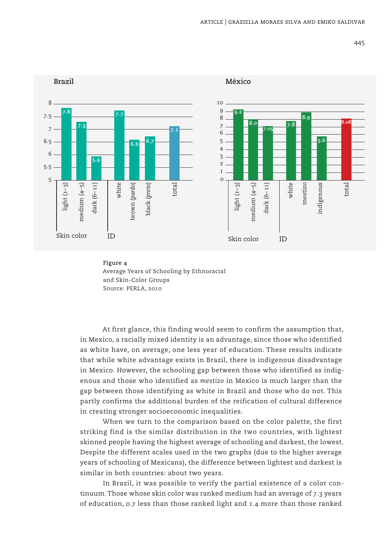



At first glance, this finding would seem to confirm the assumption that, in Mexico, a racially mixed identity is an advantage, since those who identified as white have, on average, one less year of education. These results indicate that while white advantage exists in Brazil, there is indigenous disadvantage in Mexico. However, the schooling gap between those who identified as indigenous and those who identified as *mestizo* in Mexico is much larger than the gap between those identifying as white in Brazil and those who do not. This partly confirms the additional burden of the reification of cultural difference in creating stronger socioeconomic inequalities.

When we turn to the comparison based on the color palette, the first striking find is the similar distribution in the two countries, with lightest skinned people having the highest average of schooling and darkest, the lowest. Despite the different scales used in the two graphs (due to the higher average years of schooling of Mexicans), the difference between lightest and darkest is similar in both countries: about two years.

In Brazil, it was possible to verify the partial existence of a color continuum. Those whose skin color was ranked medium had an average of 7.3 years of education, 0.7 less than those ranked light and 1.4 more than those ranked

445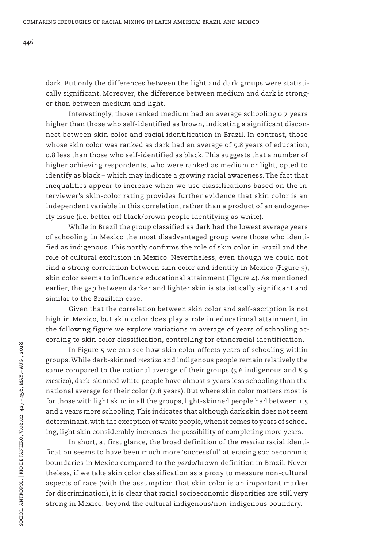dark. But only the differences between the light and dark groups were statistically significant. Moreover, the difference between medium and dark is stronger than between medium and light.

Interestingly, those ranked medium had an average schooling 0.7 years higher than those who self-identified as brown, indicating a significant disconnect between skin color and racial identification in Brazil. In contrast, those whose skin color was ranked as dark had an average of 5.8 years of education, 0.8 less than those who self-identified as black. This suggests that a number of higher achieving respondents, who were ranked as medium or light, opted to identify as black – which may indicate a growing racial awareness. The fact that inequalities appear to increase when we use classifications based on the interviewer's skin-color rating provides further evidence that skin color is an independent variable in this correlation, rather than a product of an endogeneity issue (i.e. better off black/brown people identifying as white).

While in Brazil the group classified as dark had the lowest average years of schooling, in Mexico the most disadvantaged group were those who identified as indigenous. This partly confirms the role of skin color in Brazil and the role of cultural exclusion in Mexico. Nevertheless, even though we could not find a strong correlation between skin color and identity in Mexico (Figure 3), skin color seems to influence educational attainment (Figure 4). As mentioned earlier, the gap between darker and lighter skin is statistically significant and similar to the Brazilian case.

Given that the correlation between skin color and self-ascription is not high in Mexico, but skin color does play a role in educational attainment, in the following figure we explore variations in average of years of schooling according to skin color classification, controlling for ethnoracial identification.

In Figure 5 we can see how skin color affects years of schooling within groups. While dark-skinned *mestizo* and indigenous people remain relatively the same compared to the national average of their groups (5.6 indigenous and 8.9 *mestizo*), dark-skinned white people have almost 2 years less schooling than the national average for their color (7.8 years). But where skin color matters most is for those with light skin: in all the groups, light-skinned people had between 1.5 and 2 years more schooling. This indicates that although dark skin does not seem determinant, with the exception of white people, when it comes to years of schooling, light skin considerably increases the possibility of completing more years.

In short, at first glance, the broad definition of the *mestizo* racial identification seems to have been much more 'successful' at erasing socioeconomic boundaries in Mexico compared to the *pardo*/brown definition in Brazil. Nevertheless, if we take skin color classification as a proxy to measure non-cultural aspects of race (with the assumption that skin color is an important marker for discrimination), it is clear that racial socioeconomic disparities are still very strong in Mexico, beyond the cultural indigenous/non-indigenous boundary.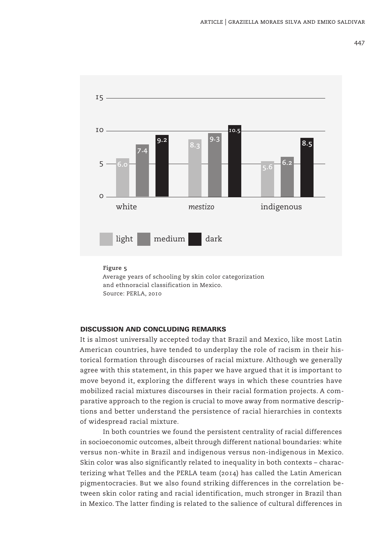

#### **Figure 5**

Average years of schooling by skin color categorization and ethnoracial classification in Mexico. Source: PERLA, 2010

## DISCUSSION AND CONCLUDING REMARKS

It is almost universally accepted today that Brazil and Mexico, like most Latin American countries, have tended to underplay the role of racism in their historical formation through discourses of racial mixture. Although we generally agree with this statement, in this paper we have argued that it is important to move beyond it, exploring the different ways in which these countries have mobilized racial mixtures discourses in their racial formation projects. A comparative approach to the region is crucial to move away from normative descriptions and better understand the persistence of racial hierarchies in contexts of widespread racial mixture.

In both countries we found the persistent centrality of racial differences in socioeconomic outcomes, albeit through different national boundaries: white versus non-white in Brazil and indigenous versus non-indigenous in Mexico. Skin color was also significantly related to inequality in both contexts – characterizing what Telles and the PERLA team (2014) has called the Latin American pigmentocracies. But we also found striking differences in the correlation between skin color rating and racial identification, much stronger in Brazil than in Mexico. The latter finding is related to the salience of cultural differences in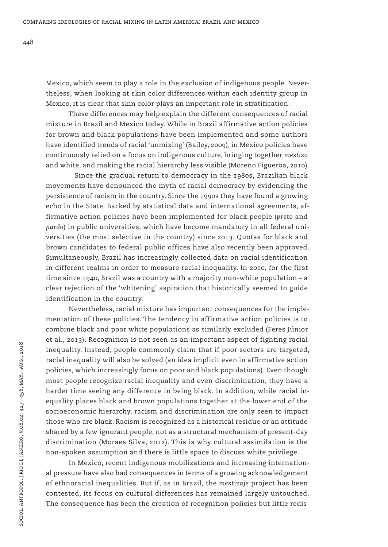Mexico, which seem to play a role in the exclusion of indigenous people. Nevertheless, when looking at skin color differences within each identity group in Mexico, it is clear that skin color plays an important role in stratification.

These differences may help explain the different consequences of racial mixture in Brazil and Mexico today. While in Brazil affirmative action policies for brown and black populations have been implemented and some authors have identified trends of racial 'unmixing' (Bailey, 2009), in Mexico policies have continuously relied on a focus on indigenous culture, bringing together *mestizo* and white, and making the racial hierarchy less visible (Moreno Figueroa, 2010).

Since the gradual return to democracy in the 1980s, Brazilian black movements have denounced the myth of racial democracy by evidencing the persistence of racism in the country. Since the 1990s they have found a growing echo in the State. Backed by statistical data and international agreements, affirmative action policies have been implemented for black people (*preto* and *pardo*) in public universities, which have become mandatory in all federal universities (the most selective in the country) since 2013. Quotas for black and brown candidates to federal public offices have also recently been approved. Simultaneously, Brazil has increasingly collected data on racial identification in different realms in order to measure racial inequality. In 2010, for the first time since 1940, Brazil was a country with a majority non-white population – a clear rejection of the 'whitening' aspiration that historically seemed to guide identification in the country.

Nevertheless, racial mixture has important consequences for the implementation of these policies. The tendency in affirmative action policies is to combine black and poor white populations as similarly excluded (Feres Júnior et al., 2013). Recognition is not seen as an important aspect of fighting racial inequality. Instead, people commonly claim that if poor sectors are targeted, racial inequality will also be solved (an idea implicit even in affirmative action policies, which increasingly focus on poor and black populations). Even though most people recognize racial inequality and even discrimination, they have a harder time seeing any difference in being black. In addition, while racial inequality places black and brown populations together at the lower end of the socioeconomic hierarchy, racism and discrimination are only seen to impact those who are black. Racism is recognized as a historical residue or an attitude shared by a few ignorant people, not as a structural mechanism of present-day discrimination (Moraes Silva, 2012). This is why cultural assimilation is the non-spoken assumption and there is little space to discuss white privilege.

In Mexico, recent indigenous mobilizations and increasing international pressure have also had consequences in terms of a growing acknowledgement of ethnoracial inequalities. But if, as in Brazil, the *mestizaje* project has been contested, its focus on cultural differences has remained largely untouched. The consequence has been the creation of recognition policies but little redis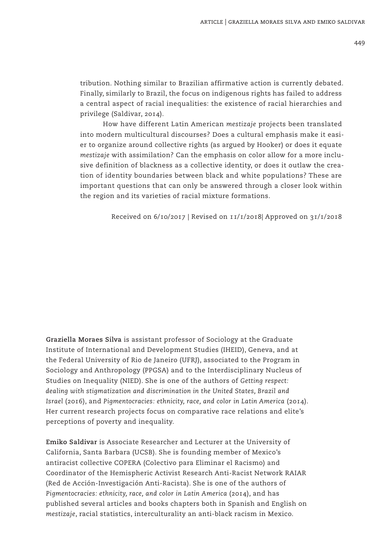tribution. Nothing similar to Brazilian affirmative action is currently debated. Finally, similarly to Brazil, the focus on indigenous rights has failed to address a central aspect of racial inequalities: the existence of racial hierarchies and privilege (Saldivar, 2014).

How have different Latin American *mestizaje* projects been translated into modern multicultural discourses? Does a cultural emphasis make it easier to organize around collective rights (as argued by Hooker) or does it equate *mestizaje* with assimilation? Can the emphasis on color allow for a more inclusive definition of blackness as a collective identity, or does it outlaw the creation of identity boundaries between black and white populations? These are important questions that can only be answered through a closer look within the region and its varieties of racial mixture formations.

Received on 6/10/2017 | Revised on 11/1/2018| Approved on 31/1/2018

**Graziella Moraes Silva** is assistant professor of Sociology at the Graduate Institute of International and Development Studies (IHEID), Geneva, and at the Federal University of Rio de Janeiro (UFRJ), associated to the Program in Sociology and Anthropology (PPGSA) and to the Interdisciplinary Nucleus of Studies on Inequality (NIED). She is one of the authors of *Getting respect: dealing with stigmatization and discrimination in the United States, Brazil and Israel* (2016), and *Pigmentocracies: ethnicity, race, and color in Latin America* (2014). Her current research projects focus on comparative race relations and elite's perceptions of poverty and inequality.

**Emiko Saldivar** is Associate Researcher and Lecturer at the University of California, Santa Barbara (UCSB). She is founding member of Mexico's antiracist collective COPERA (Colectivo para Eliminar el Racismo) and Coordinator of the Hemispheric Activist Research Anti-Racist Network RAIAR (Red de Acción-Investigación Anti-Racista). She is one of the authors of *Pigmentocracies: ethnicity, race, and color in Latin America* (2014), and has published several articles and books chapters both in Spanish and English on *mestizaje*, racial statistics, interculturality an anti-black racism in Mexico.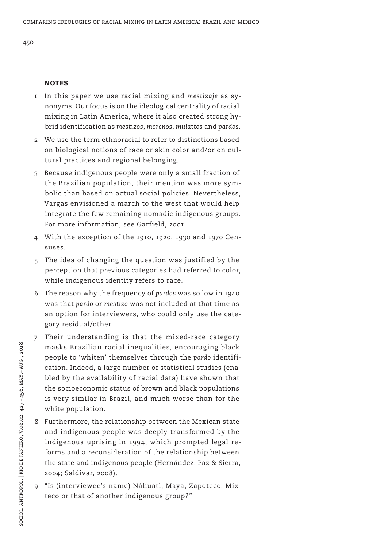## **NOTES**

- 1 In this paper we use racial mixing and *mestizaje* as synonyms. Our focus is on the ideological centrality of racial mixing in Latin America, where it also created strong hybrid identification as *mestizos*, *morenos*, *mulattos* and *pardos*.
- We use the term ethnoracial to refer to distinctions based on biological notions of race or skin color and/or on cultural practices and regional belonging.
- 3 Because indigenous people were only a small fraction of the Brazilian population, their mention was more symbolic than based on actual social policies. Nevertheless, Vargas envisioned a march to the west that would help integrate the few remaining nomadic indigenous groups. For more information, see Garfield, 2001.
- 4 With the exception of the 1910, 1920, 1930 and 1970 Censuses.
- 5 The idea of changing the question was justified by the perception that previous categories had referred to color, while indigenous identity refers to race.
- 6 The reason why the frequency of *pardos* was so low in 1940 was that *pardo* or *mestizo* was not included at that time as an option for interviewers, who could only use the category residual/other.
- 7 Their understanding is that the mixed-race category masks Brazilian racial inequalities, encouraging black people to 'whiten' themselves through the *pardo* identification. Indeed, a large number of statistical studies (enabled by the availability of racial data) have shown that the socioeconomic status of brown and black populations is very similar in Brazil, and much worse than for the white population.
- 8 Furthermore, the relationship between the Mexican state and indigenous people was deeply transformed by the indigenous uprising in 1994, which prompted legal reforms and a reconsideration of the relationship between the state and indigenous people (Hernández, Paz & Sierra, 2004; Saldivar, 2008).
- 9 "Is (interviewee's name) Náhuatl, Maya, Zapoteco, Mixteco or that of another indigenous group?"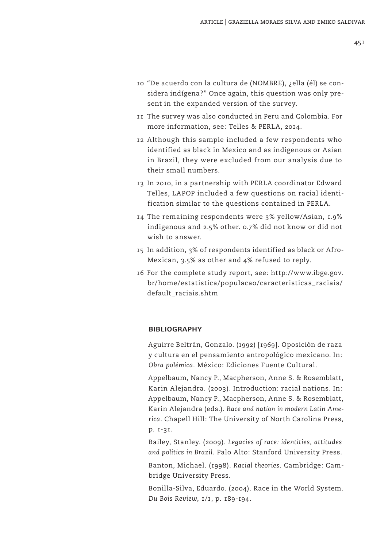- 10 "De acuerdo con la cultura de (NOMBRE), ¿ella (él) se considera indígena?" Once again, this question was only present in the expanded version of the survey.
- 11 The survey was also conducted in Peru and Colombia. For more information, see: Telles & PERLA, 2014.
- 12 Although this sample included a few respondents who identified as black in Mexico and as indigenous or Asian in Brazil, they were excluded from our analysis due to their small numbers.
- 13 In 2010, in a partnership with PERLA coordinator Edward Telles, LAPOP included a few questions on racial identification similar to the questions contained in PERLA.
- 14 The remaining respondents were 3% yellow/Asian, 1.9% indigenous and 2.5% other. 0.7% did not know or did not wish to answer.
- 15 In addition, 3% of respondents identified as black or Afro-Mexican, 3.5% as other and 4% refused to reply.
- 16 For the complete study report, see: http://www.ibge.gov. br/home/estatistica/populacao/caracteristicas\_raciais/ default\_raciais.shtm

#### **BIBLIOGRAPHY**

Aguirre Beltrán, Gonzalo. (1992) [1969]. Oposición de raza y cultura en el pensamiento antropológico mexicano. In: *Obra polémica.* México: Ediciones Fuente Cultural.

Appelbaum, Nancy P., Macpherson, Anne S. & Rosemblatt, Karin Alejandra. (2003). Introduction: racial nations. In: Appelbaum, Nancy P., Macpherson, Anne S. & Rosemblatt, Karin Alejandra (eds.). *Race and nation in modern Latin America*. Chapell Hill: The University of North Carolina Press, p. 1-31.

Bailey, Stanley. (2009). *Legacies of race: identities, attitudes and politics in Brazil*. Palo Alto: Stanford University Press.

Banton, Michael. (1998). *Racial theories*. Cambridge: Cambridge University Press.

Bonilla-Silva, Eduardo. (2004). Race in the World System. *Du Bois Review*, 1/1, p. 189-194.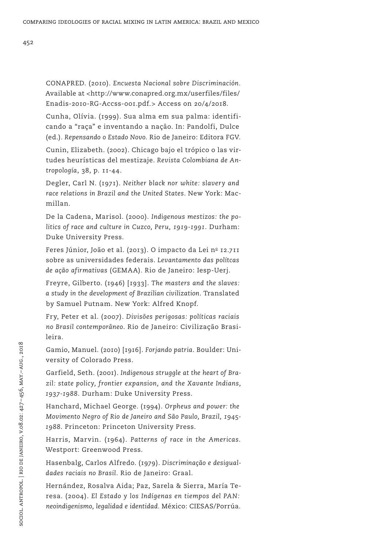CONAPRED. (2010). *Encuesta Nacional sobre Discriminación.*  Available at <http://www.conapred.org.mx/userfiles/files/ Enadis-2010-RG-Accss-001.pdf.> Access on 20/4/2018.

Cunha, Olívia. (1999). Sua alma em sua palma: identificando a "raça" e inventando a nação. In: Pandolfi, Dulce (ed.)*. Repensando o Estado Novo.* Rio de Janeiro: Editora FGV.

Cunin, Elizabeth. (2002). Chicago bajo el trópico o las virtudes heurísticas del mestizaje. *Revista Colombiana de Antropología*, 38, p. 11-44.

Degler, Carl N. (1971). *Neither black nor white: slavery and race relations in Brazil and the United States*. New York: Macmillan.

De la Cadena, Marisol. (2000). *Indigenous mestizos: the politics of race and culture in Cuzco, Peru, 1919-1991*. Durham: Duke University Press.

Feres Júnior, João et al. (2013). O impacto da Lei  $n^{\circ}$  12.711 sobre as universidades federais. *Levantamento das polítcas de ação afirmativas* (GEMAA)*.* Rio de Janeiro: Iesp-Uerj.

Freyre, Gilberto. (1946) [1933]. *The masters and the slaves: a study in the development of Brazilian civilization*. Translated by Samuel Putnam. New York: Alfred Knopf.

Fry, Peter et al. (2007). *Divisões perigosas: políticas raciais no Brasil contemporâneo*. Rio de Janeiro: Civilização Brasileira.

Gamio, Manuel. (2010) [1916]. *Forjando patria*. Boulder: University of Colorado Press.

Garfield, Seth. (2001). *Indigenous struggle at the heart of Brazil: state policy, frontier expansion, and the Xavante Indians, 1937-1988.* Durham: Duke University Press.

Hanchard, Michael George. (1994). *Orpheus and power: the Movimento Negro of Rio de Janeiro and São Paulo, Brazil, 1945- 1988*. Princeton: Princeton University Press.

Harris, Marvin. (1964). *Patterns of race in the Americas*. Westport: Greenwood Press.

Hasenbalg, Carlos Alfredo. (1979). *Discriminação e desigualdades raciais no Brasil*. Rio de Janeiro: Graal.

Hernández, Rosalva Aida; Paz, Sarela & Sierra, María Teresa. (2004). *El Estado y los Indígenas en tiempos del PAN: neoindigenismo, legalidad e identidad.* México: CIESAS/Porrúa.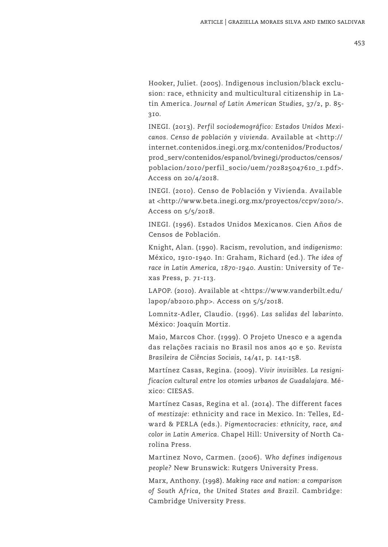Hooker, Juliet. (2005). Indigenous inclusion/black exclusion: race, ethnicity and multicultural citizenship in Latin America. *Journal of Latin American Studies*, 37/2, p. 85- 310.

INEGI. (2013). *Perfil sociodemográfico: Estados Unidos Mexicanos. Censo de población y vivienda*. Available at <http:// internet.contenidos.inegi.org.mx/contenidos/Productos/ prod\_serv/contenidos/espanol/bvinegi/productos/censos/ poblacion/2010/perfil\_socio/uem/702825047610\_1.pdf>. Access on 20/4/2018.

INEGI. (2010). Censo de Población y Vivienda. Available at <http://www.beta.inegi.org.mx/proyectos/ccpv/2010/>. Access on 5/5/2018.

INEGI. (1996). Estados Unidos Mexicanos. Cien Años de Censos de Población.

Knight, Alan. (1990). Racism, revolution, and *indigenismo*: México, 1910-1940. In: Graham, Richard (ed.). *The idea of race in Latin America, 1870-1940*. Austin: University of Texas Press, p. 71-113.

LAPOP. (2010). Available at <https://www.vanderbilt.edu/ lapop/ab2010.php>. Access on 5/5/2018.

Lomnitz-Adler, Claudio. (1996). *Las salidas del labarinto*. México: Joaquín Mortiz.

Maio, Marcos Chor. (1999). O Projeto Unesco e a agenda das relações raciais no Brasil nos anos 40 e 50. *Revista Brasileira de Ciências Sociais*, 14/41, p. 141-158.

Martínez Casas, Regina. (2009). *Vivir invisibles. La resignificacion cultural entre los otomies urbanos de Guadalajara.* México: CIESAS.

Martínez Casas, Regina et al. (2014). The different faces of *mestizaje*: ethnicity and race in Mexico. In: Telles, Edward & PERLA (eds.). *Pigmentocracies: ethnicity, race, and color in Latin America.* Chapel Hill: University of North Carolina Press.

Martinez Novo, Carmen. (2006). *Who defines indigenous people?* New Brunswick: Rutgers University Press.

Marx, Anthony. (1998). *Making race and nation: a comparison of South Africa, the United States and Brazil*. Cambridge: Cambridge University Press.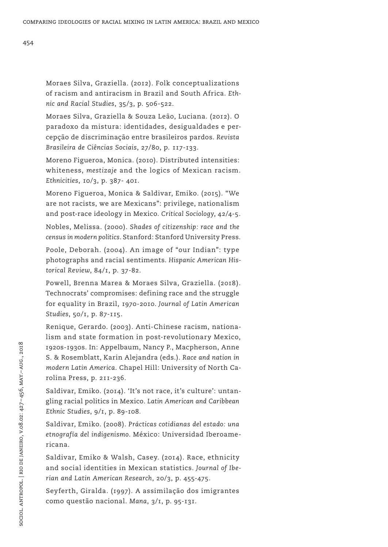Moraes Silva, Graziella & Souza Leão, Luciana. (2012). O paradoxo da mistura: identidades, desigualdades e percepção de discriminação entre brasileiros pardos. *Revista Brasileira de Ciências Sociais*, 27/80, p. 117-133.

Moreno Figueroa, Monica. (2010). Distributed intensities: whiteness, *mestizaje* and the logics of Mexican racism. *Ethnicities*, 10/3, p. 387- 401.

Moreno Figueroa, Monica & Saldivar, Emiko. (2015). "We are not racists, we are Mexicans": privilege, nationalism and post-race ideology in Mexico. *Critical Sociology*, 42/4-5. Nobles, Melissa. (2000). *Shades of citizenship: race and the census in modern politics*. Stanford: Stanford University Press.

Poole, Deborah. (2004). An image of "our Indian": type photographs and racial sentiments. *Hispanic American Historical Review*, 84/1, p. 37-82.

Powell, Brenna Marea & Moraes Silva, Graziella. (2018). Technocrats' compromises: defining race and the struggle for equality in Brazil, 1970-2010. *Journal of Latin American Studies*, 50/1, p. 87-115.

Renique, Gerardo. (2003). Anti-Chinese racism, nationalism and state formation in post-revolutionary Mexico, 1920s-1930s. In: Appelbaum, Nancy P., Macpherson, Anne S. & Rosemblatt, Karin Alejandra (eds.). *Race and nation in modern Latin America*. Chapel Hill: University of North Carolina Press, p. 211-236.

Saldivar, Emiko. (2014). 'It's not race, it's culture': untangling racial politics in Mexico. *Latin American and Caribbean Ethnic Studies*, 9/1, p. 89-108*.*

Saldivar, Emiko. (2008). *Prácticas cotidianas del estado: una etnografía del indigenismo*. México: Universidad Iberoamericana.

Saldivar, Emiko & Walsh, Casey. (2014). Race, ethnicity and social identities in Mexican statistics. *Journal of Iberian and Latin American Research*, 20/3, p. 455-475.

Seyferth, Giralda. (1997). A assimilação dos imigrantes como questão nacional. *Mana*, 3/1, p. 95-131.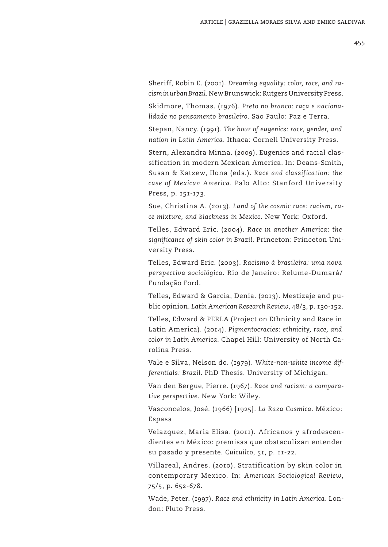Sheriff, Robin E. (2001). *Dreaming equality: color, race, and racism in urban Brazil*. New Brunswick: Rutgers University Press.

Skidmore, Thomas. (1976). *Preto no branco: raça e nacionalidade no pensamento brasileiro*. São Paulo: Paz e Terra.

Stepan, Nancy. (1991). *The hour of eugenics: race, gender, and nation in Latin America*. Ithaca: Cornell University Press.

Stern, Alexandra Minna. (2009). Eugenics and racial classification in modern Mexican America. In: Deans-Smith, Susan & Katzew, Ilona (eds.). *Race and classification: the case of Mexican America*. Palo Alto: Stanford University Press, p. 151-173.

Sue, Christina A. (2013). *Land of the cosmic race: racism, race mixture, and blackness in Mexico.* New York: Oxford.

Telles, Edward Eric. (2004). *Race in another America: the significance of skin color in Brazil*. Princeton: Princeton University Press.

Telles, Edward Eric. (2003). *Racismo à brasileira: uma nova perspectiva sociológica*. Rio de Janeiro: Relume-Dumará/ Fundação Ford.

Telles, Edward & Garcia, Denia. (2013). Mestizaje and public opinion. *Latin American Research Review*, 48/3, p. 130-152.

Telles, Edward & PERLA (Project on Ethnicity and Race in Latin America). (2014). *Pigmentocracies: ethnicity, race, and color in Latin America.* Chapel Hill: University of North Carolina Press.

Vale e Silva, Nelson do. (1979). *White-non-white income differentials: Brazil*. PhD Thesis. University of Michigan.

Van den Bergue, Pierre. (1967). *Race and racism: a comparative perspective*. New York: Wiley.

Vasconcelos, José. (1966) [1925]. *La Raza Cosmica*. México: Espasa

Velazquez, Maria Elisa. (2011). Africanos y afrodescendientes en México: premisas que obstaculizan entender su pasado y presente. *Cuicuilco*, 51, p. 11-22.

Villareal, Andres. (2010). Stratification by skin color in contemporary Mexico. In: *American Sociological Review*, 75/5, p. 652-678.

Wade, Peter. (1997). *Race and ethnicity in Latin America.* London: Pluto Press.